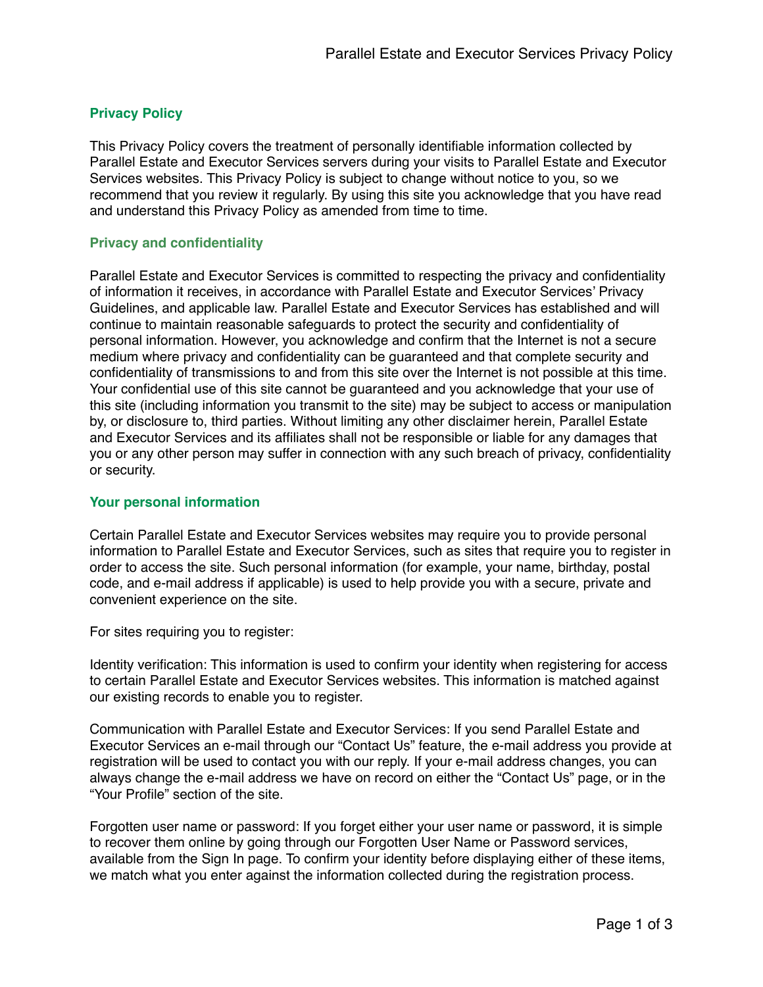# **Privacy Policy**

This Privacy Policy covers the treatment of personally identifiable information collected by Parallel Estate and Executor Services servers during your visits to Parallel Estate and Executor Services websites. This Privacy Policy is subject to change without notice to you, so we recommend that you review it regularly. By using this site you acknowledge that you have read and understand this Privacy Policy as amended from time to time.

### **Privacy and confidentiality**

Parallel Estate and Executor Services is committed to respecting the privacy and confidentiality of information it receives, in accordance with Parallel Estate and Executor Services' Privacy Guidelines, and applicable law. Parallel Estate and Executor Services has established and will continue to maintain reasonable safeguards to protect the security and confidentiality of personal information. However, you acknowledge and confirm that the Internet is not a secure medium where privacy and confidentiality can be guaranteed and that complete security and confidentiality of transmissions to and from this site over the Internet is not possible at this time. Your confidential use of this site cannot be guaranteed and you acknowledge that your use of this site (including information you transmit to the site) may be subject to access or manipulation by, or disclosure to, third parties. Without limiting any other disclaimer herein, Parallel Estate and Executor Services and its affiliates shall not be responsible or liable for any damages that you or any other person may suffer in connection with any such breach of privacy, confidentiality or security.

### **Your personal information**

Certain Parallel Estate and Executor Services websites may require you to provide personal information to Parallel Estate and Executor Services, such as sites that require you to register in order to access the site. Such personal information (for example, your name, birthday, postal code, and e-mail address if applicable) is used to help provide you with a secure, private and convenient experience on the site.

For sites requiring you to register:

Identity verification: This information is used to confirm your identity when registering for access to certain Parallel Estate and Executor Services websites. This information is matched against our existing records to enable you to register.

Communication with Parallel Estate and Executor Services: If you send Parallel Estate and Executor Services an e-mail through our "Contact Us" feature, the e-mail address you provide at registration will be used to contact you with our reply. If your e-mail address changes, you can always change the e-mail address we have on record on either the "Contact Us" page, or in the "Your Profile" section of the site.

Forgotten user name or password: If you forget either your user name or password, it is simple to recover them online by going through our Forgotten User Name or Password services, available from the Sign In page. To confirm your identity before displaying either of these items, we match what you enter against the information collected during the registration process.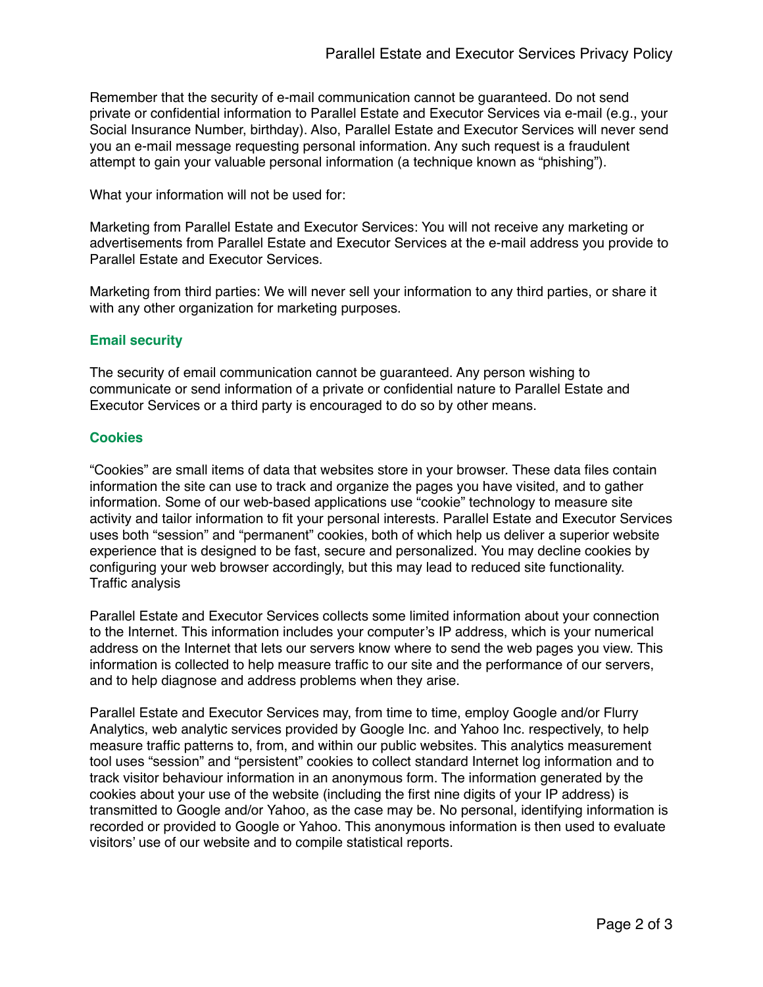Remember that the security of e-mail communication cannot be guaranteed. Do not send private or confidential information to Parallel Estate and Executor Services via e-mail (e.g., your Social Insurance Number, birthday). Also, Parallel Estate and Executor Services will never send you an e-mail message requesting personal information. Any such request is a fraudulent attempt to gain your valuable personal information (a technique known as "phishing").

What your information will not be used for:

Marketing from Parallel Estate and Executor Services: You will not receive any marketing or advertisements from Parallel Estate and Executor Services at the e-mail address you provide to Parallel Estate and Executor Services.

Marketing from third parties: We will never sell your information to any third parties, or share it with any other organization for marketing purposes.

## **Email security**

The security of email communication cannot be guaranteed. Any person wishing to communicate or send information of a private or confidential nature to Parallel Estate and Executor Services or a third party is encouraged to do so by other means.

### **Cookies**

"Cookies" are small items of data that websites store in your browser. These data files contain information the site can use to track and organize the pages you have visited, and to gather information. Some of our web-based applications use "cookie" technology to measure site activity and tailor information to fit your personal interests. Parallel Estate and Executor Services uses both "session" and "permanent" cookies, both of which help us deliver a superior website experience that is designed to be fast, secure and personalized. You may decline cookies by configuring your web browser accordingly, but this may lead to reduced site functionality. Traffic analysis

Parallel Estate and Executor Services collects some limited information about your connection to the Internet. This information includes your computer's IP address, which is your numerical address on the Internet that lets our servers know where to send the web pages you view. This information is collected to help measure traffic to our site and the performance of our servers, and to help diagnose and address problems when they arise.

Parallel Estate and Executor Services may, from time to time, employ Google and/or Flurry Analytics, web analytic services provided by Google Inc. and Yahoo Inc. respectively, to help measure traffic patterns to, from, and within our public websites. This analytics measurement tool uses "session" and "persistent" cookies to collect standard Internet log information and to track visitor behaviour information in an anonymous form. The information generated by the cookies about your use of the website (including the first nine digits of your IP address) is transmitted to Google and/or Yahoo, as the case may be. No personal, identifying information is recorded or provided to Google or Yahoo. This anonymous information is then used to evaluate visitors' use of our website and to compile statistical reports.